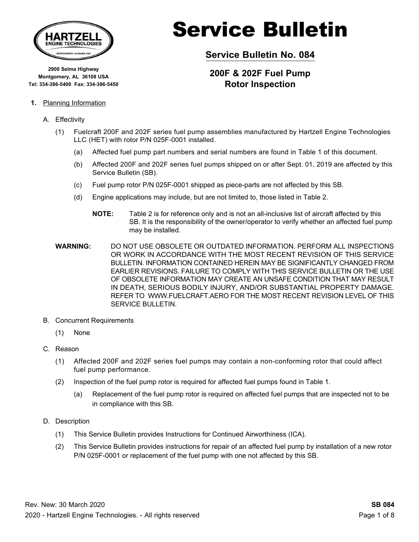

**2900 Selma Highway Montgomery, AL 36108 USA Tel: 334-386-5400 Fax: 334-386-5450**

#### **1.** Planning Information

#### A. Effectivity

- (1) Fuelcraft 200F and 202F series fuel pump assemblies manufactured by Hartzell Engine Technologies LLC (HET) with rotor P/N 025F-0001 installed.
	- (a) Affected fuel pump part numbers and serial numbers are found in Table 1 of this document.
	- (b) Affected 200F and 202F series fuel pumps shipped on or after Sept. 01, 2019 are affected by this Service Bulletin (SB).
	- (c) Fuel pump rotor P/N 025F-0001 shipped as piece-parts are not affected by this SB.
	- (d) Engine applications may include, but are not limited to, those listed in Table 2.
		- **NOTE:** Table 2 is for reference only and is not an all-inclusive list of aircraft affected by this SB. It is the responsibility of the owner/operator to verify whether an affected fuel pump may be installed.
- **WARNING:** DO NOT USE obsolete or outdated information. perform all inspections or work in accordance with the most recent revision of this Service Bulletin. information contained herein may be significantly changed from earlier revisions. failure to comply with this Service Bulletin or the use of obsolete information may create an unsafe condition that may result in death, serious bodily injury, and/or substantial property damage. Refer to www.Fuelcraft.aero for the most recent revision level of this SERVICE BULLETIN.
- B. Concurrent Requirements
	- (1) None
- C. Reason
	- (1) Affected 200F and 202F series fuel pumps may contain a non-conforming rotor that could affect fuel pump performance.
	- (2) Inspection of the fuel pump rotor is required for affected fuel pumps found in Table 1.
		- (a) Replacement of the fuel pump rotor is required on affected fuel pumps that are inspected not to be in compliance with this SB.
- D. Description
	- (1) This Service Bulletin provides Instructions for Continued Airworthiness (ICA).
	- (2) This Service Bulletin provides instructions for repair of an affected fuel pump by installation of a new rotor P/N 025F-0001 or replacement of the fuel pump with one not affected by this SB.

# Service Bulletin

**Service Bulletin No. 084**

#### **200F & 202F Fuel Pump Rotor Inspection**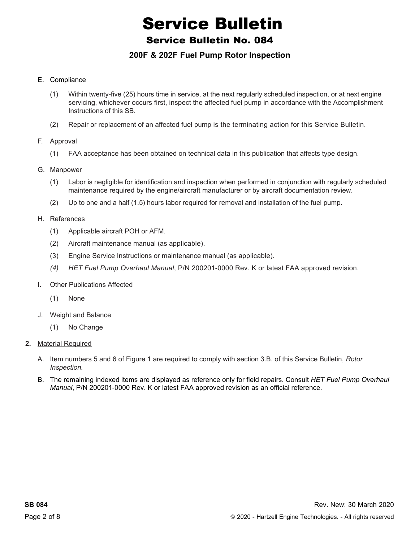#### Service Bulletin No. 084

#### **200F & 202F Fuel Pump Rotor Inspection**

#### E. Compliance

- (1) Within twenty-five (25) hours time in service, at the next regularly scheduled inspection, or at next engine servicing, whichever occurs first, inspect the affected fuel pump in accordance with the Accomplishment Instructions of this SB.
- (2) Repair or replacement of an affected fuel pump is the terminating action for this Service Bulletin.
- F. Approval
	- (1) FAA acceptance has been obtained on technical data in this publication that affects type design.
- G. Manpower
	- (1) Labor is negligible for identification and inspection when performed in conjunction with regularly scheduled maintenance required by the engine/aircraft manufacturer or by aircraft documentation review.
	- (2) Up to one and a half (1.5) hours labor required for removal and installation of the fuel pump.
- H. References
	- (1) Applicable aircraft POH or AFM.
	- (2) Aircraft maintenance manual (as applicable).
	- (3) Engine Service Instructions or maintenance manual (as applicable).
	- *(4) HET Fuel Pump Overhaul Manual*, P/N 200201-0000 Rev. K or latest FAA approved revision.
- I. Other Publications Affected
	- (1) None
- J. Weight and Balance
	- (1) No Change
- **2.** Material Required
	- A. Item numbers 5 and 6 of Figure 1 are required to comply with section 3.B. of this Service Bulletin, *Rotor Inspection.*
	- B. The remaining indexed items are displayed as reference only for field repairs. Consult *HET Fuel Pump Overhaul Manual*, P/N 200201-0000 Rev. K or latest FAA approved revision as an official reference.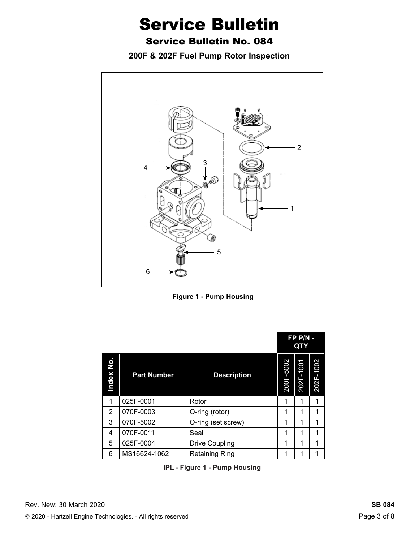Service Bulletin No. 084

**200F & 202F Fuel Pump Rotor Inspection**



**Figure 1 - Pump Housing**

|           |                    |                       | FP P/N -<br>QTY |           |           |
|-----------|--------------------|-----------------------|-----------------|-----------|-----------|
| Index No. | <b>Part Number</b> | <b>Description</b>    | 200F-5002       | 202F-1001 | 202F-1002 |
| 1         | 025F-0001          | Rotor                 | 1               | 1         | 1         |
| 2         | 070F-0003          | O-ring (rotor)        | 1               | 1         | 1         |
| 3         | 070F-5002          | O-ring (set screw)    | 1               | 1         | 1         |
| 4         | 070F-0011          | Seal                  |                 | 1         | 1         |
| 5         | 025F-0004          | <b>Drive Coupling</b> | 1               | 1         | 1         |
| 6         | MS16624-1062       | <b>Retaining Ring</b> | 1               |           |           |

**IPL - Figure 1 - Pump Housing**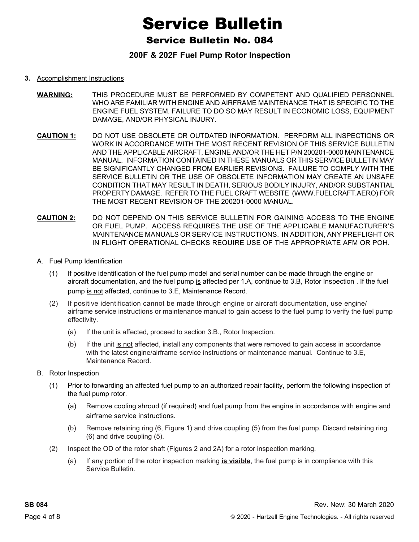Service Bulletin No. 084

#### **200F & 202F Fuel Pump Rotor Inspection**

#### **3.** Accomplishment Instructions

- **WARNING:** THIS PROCEDURE MUST BE PERFORMED BY COMPETENT AND QUALIFIED PERSONNEL WHO ARE FAMILIAR WITH ENGINE AND AIRFRAME MAINTENANCE THAT IS SPECIFIC TO THE ENGINE FUEL SYSTEM. FAILURE TO DO SO MAY RESULT IN ECONOMIC LOSS, EQUIPMENT DAMAGE, AND/OR PHYSICAL INJURY.
- **CAUTION 1:** DO NOT USE OBSOLETE OR OUTDATED INFORMATION. PERFORM ALL INSPECTIONS OR WORK IN ACCORDANCE WITH THE MOST RECENT REVISION OF THIS SERVICE BULLETIN AND THE APPLICABLE AIRCRAFT, ENGINE AND/OR THE HET P/N 200201-0000 MAINTENANCE MANUAL. INFORMATION CONTAINED IN THESE MANUALS OR THIS SERVICE BULLETIN MAY BE SIGNIFICANTLY CHANGED FROM EARLIER REVISIONS. FAILURE TO COMPLY WITH THE SERVICE BULLETIN OR THE USE OF OBSOLETE INFORMATION MAY CREATE AN UNSAFE CONDITION THAT MAY RESULT IN DEATH, SERIOUS BODILY INJURY, AND/OR SUBSTANTIAL PROPERTY DAMAGE. REFER TO THE fuel craft WEBSITE (WWW.fuelcraft.AERO) FOR THE MOST RECENT REVISION OF THE 200201-0000 MANUAL.
- **CAUTION 2:** DO NOT DEPEND ON THIS Service Bulletin FOR GAINING ACCESS TO THE ENGINE OR FUEL PUMP. ACCESS REQUIRES THE USE OF THE APPLICABLE MANUFACTURER'S MAINTENANCE MANUALS OR SERVICE INSTRUCTIONS. IN ADDITION, ANY PREFLIGHT OR IN FLIGHT OPERATIONAL CHECKS REQUIRE USE OF THE APPROPRIATE AFM OR POH.
- A. Fuel Pump Identification
	- (1) If positive identification of the fuel pump model and serial number can be made through the engine or aircraft documentation, and the fuel pump is affected per 1.A, continue to 3.B, Rotor Inspection . If the fuel pump is not affected, continue to 3.E, Maintenance Record.
	- (2) If positive identification cannot be made through engine or aircraft documentation, use engine/ airframe service instructions or maintenance manual to gain access to the fuel pump to verify the fuel pump effectivity.
		- (a) If the unit is affected, proceed to section 3.B., Rotor Inspection.
		- (b) If the unit is not affected, install any components that were removed to gain access in accordance with the latest engine/airframe service instructions or maintenance manual. Continue to 3.E, Maintenance Record.
- B. Rotor Inspection
	- (1) Prior to forwarding an affected fuel pump to an authorized repair facility, perform the following inspection of the fuel pump rotor.
		- (a) Remove cooling shroud (if required) and fuel pump from the engine in accordance with engine and airframe service instructions.
		- (b) Remove retaining ring (6, Figure 1) and drive coupling (5) from the fuel pump. Discard retaining ring (6) and drive coupling (5).
	- (2) Inspect the OD of the rotor shaft (Figures 2 and 2A) for a rotor inspection marking.
		- (a) If any portion of the rotor inspection marking **is visible**, the fuel pump is in compliance with this Service Bulletin.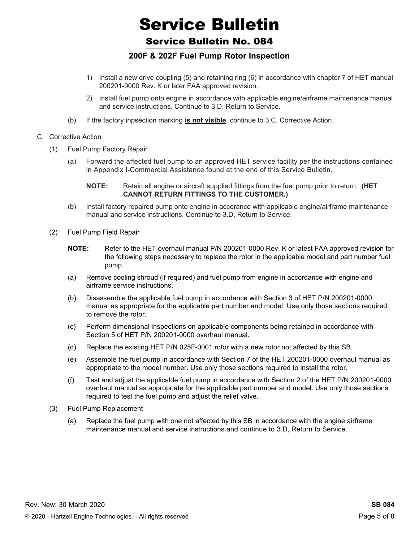Service Bulletin No. 084

#### **200F & 202F Fuel Pump Rotor Inspection**

- 1) Install a new drive coupling (5) and retaining ring (6) in accordance with chapter 7 of HET manual 200201-0000 Rev. K or later FAA approved revision.
- 2) Install fuel pump onto engine in accordance with applicable engine/airframe maintenance manual and service instructions. Continue to 3.D, Return to Service.
- (b) If the factory inpsection marking **is not visible**, continue to 3.C, Corrective Action.
- C. Corrective Action
	- (1) Fuel Pump Factory Repair
		- (a) Forward the affected fuel pump to an approved HET service facility per the instructions contained in Appendix I-Commercial Assistance found at the end of this Service Bulletin.
			- **NOTE:** Retain all engine or aircraft supplied fittings from the fuel pump prior to return. **(HET cannot return fittings to the customer.)**
		- (b) Install factory repaired pump onto engine in accorance with applicable engine/airframe maintenance manual and service instructions. Continue to 3.D, Return to Service.
	- (2) Fuel Pump Field Repair
		- **NOTE:** Refer to the HET overhaul manual P/N 200201-0000 Rev. K or latest FAA approved revision for the following steps necessary to replace the rotor in the applicable model and part number fuel pump.
		- (a) Remove cooling shroud (if required) and fuel pump from engine in accordance with engine and airframe service instructions.
		- (b) Disassemble the applicable fuel pump in accordance with Section 3 of HET P/N 200201-0000 manual as appropriate for the applicable part number and model. Use only those sections required to remove the rotor.
		- (c) Perform dimensional inspections on applicable components being retained in accordance with Section 5 of HET P/N 200201-0000 overhaul manual.
		- (d) Replace the existing HET P/N 025F-0001 rotor with a new rotor not affected by this SB.
		- (e) Assemble the fuel pump in accordance with Section 7 of the HET 200201-0000 overhaul manual as appropriate to the model number. Use only those sections required to install the rotor.
		- (f) Test and adjust the applicable fuel pump in accordance with Section 2 of the HET P/N 200201-0000 overhaul manual as appropriate for the applicable part number and model. Use only those sections required to test the fuel pump and adjust the relief valve.
	- (3) Fuel Pump Replacement
		- (a) Replace the fuel pump with one not affected by this SB in accordance with the engine airframe maintenance manual and service instructions and continue to 3.D, Return to Service.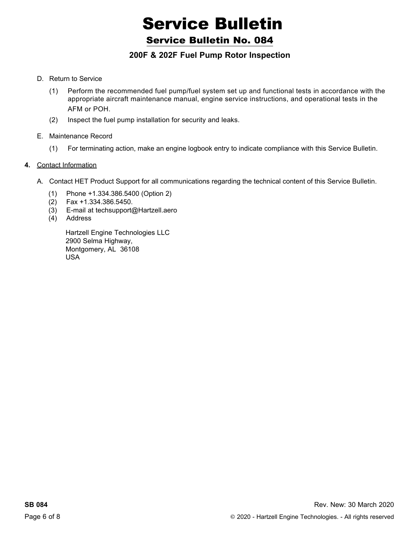#### Service Bulletin No. 084

#### **200F & 202F Fuel Pump Rotor Inspection**

- D. Return to Service
	- (1) Perform the recommended fuel pump/fuel system set up and functional tests in accordance with the appropriate aircraft maintenance manual, engine service instructions, and operational tests in the AFM or POH.
	- (2) Inspect the fuel pump installation for security and leaks.
- E. Maintenance Record
	- (1) For terminating action, make an engine logbook entry to indicate compliance with this Service Bulletin.

#### **4.** Contact Information

- A. Contact HET Product Support for all communications regarding the technical content of this Service Bulletin.
	- (1) Phone +1.334.386.5400 (Option 2)
	- (2) Fax +1.334.386.5450.
	- (3) E-mail at techsupport@Hartzell.aero
	- (4) Address

Hartzell Engine Technologies LLC 2900 Selma Highway, Montgomery, AL 36108 USA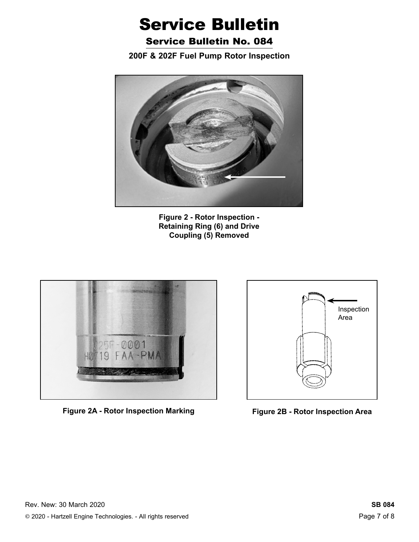Service Bulletin No. 084

**200F & 202F Fuel Pump Rotor Inspection**



**Figure 2 - Rotor Inspection - Retaining Ring (6) and Drive Coupling (5) Removed**



**Figure 2A - Rotor Inspection Marking Figure 2B - Rotor Inspection Area**

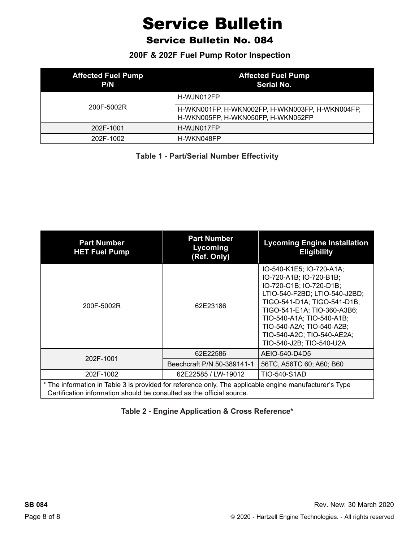Service Bulletin No. 084

**200F & 202F Fuel Pump Rotor Inspection**

| <b>Affected Fuel Pump</b><br>P/N | <b>Affected Fuel Pump</b><br>Serial No.                                               |
|----------------------------------|---------------------------------------------------------------------------------------|
|                                  | H-WJN012FP                                                                            |
| 200F-5002R                       | H-WKN001FP, H-WKN002FP, H-WKN003FP, H-WKN004FP,<br>H-WKN005FP, H-WKN050FP, H-WKN052FP |
| 202F-1001                        | H-WJN017FP                                                                            |
| 202F-1002                        | H-WKN048FP                                                                            |

**Table 1 - Part/Serial Number Effectivity**

| <b>Part Number</b><br><b>HET Fuel Pump</b>                                                                                                                                      | <b>Part Number</b><br>Lycoming<br>(Ref. Only) | <b>Lycoming Engine Installation</b><br><b>Eligibility</b>                                                                                                                                                                                                                                         |  |  |  |  |  |
|---------------------------------------------------------------------------------------------------------------------------------------------------------------------------------|-----------------------------------------------|---------------------------------------------------------------------------------------------------------------------------------------------------------------------------------------------------------------------------------------------------------------------------------------------------|--|--|--|--|--|
| 200F-5002R                                                                                                                                                                      | 62E23186                                      | IO-540-K1E5; IO-720-A1A;<br>IO-720-A1B; IO-720-B1B;<br>IO-720-C1B; IO-720-D1B;<br>LTIO-540-F2BD; LTIO-540-J2BD;<br>TIGO-541-D1A; TIGO-541-D1B;<br>TIGO-541-E1A; TIO-360-A3B6;<br>TIO-540-A1A; TIO-540-A1B;<br>TIO-540-A2A; TIO-540-A2B;<br>TIO-540-A2C; TIO-540-AE2A;<br>TIO-540-J2B; TIO-540-U2A |  |  |  |  |  |
| 202F-1001                                                                                                                                                                       | 62E22586                                      | AEIO-540-D4D5                                                                                                                                                                                                                                                                                     |  |  |  |  |  |
|                                                                                                                                                                                 | Beechcraft P/N 50-389141-1                    | 56TC, A56TC 60; A60; B60                                                                                                                                                                                                                                                                          |  |  |  |  |  |
| 202F-1002                                                                                                                                                                       | 62E22585 / LW-19012                           | TIO-540-S1AD                                                                                                                                                                                                                                                                                      |  |  |  |  |  |
| * The information in Table 3 is provided for reference only. The applicable engine manufacturer's Type<br>Certification information should be consulted as the official source. |                                               |                                                                                                                                                                                                                                                                                                   |  |  |  |  |  |

#### **Table 2 - Engine Application & Cross Reference\***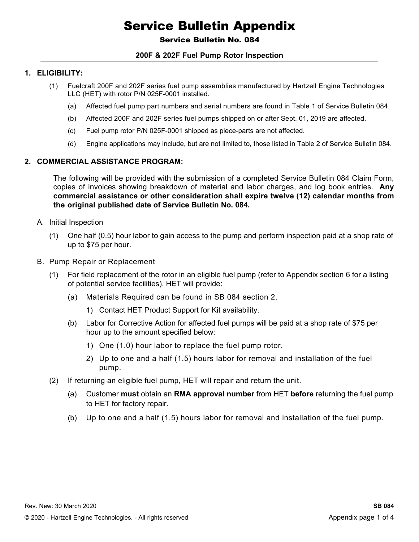#### Service Bulletin No. 084

#### **200F & 202F Fuel Pump Rotor Inspection**

#### **1. Eligibility:**

- (1) Fuelcraft 200F and 202F series fuel pump assemblies manufactured by Hartzell Engine Technologies LLC (HET) with rotor P/N 025F-0001 installed.
	- (a) Affected fuel pump part numbers and serial numbers are found in Table 1 of Service Bulletin 084.
	- (b) Affected 200F and 202F series fuel pumps shipped on or after Sept. 01, 2019 are affected.
	- (c) Fuel pump rotor P/N 025F-0001 shipped as piece-parts are not affected.
	- (d) Engine applications may include, but are not limited to, those listed in Table 2 of Service Bulletin 084.

#### **2. Commercial Assistance Program:**

The following will be provided with the submission of a completed Service Bulletin 084 Claim Form, copies of invoices showing breakdown of material and labor charges, and log book entries. **Any commercial assistance or other consideration shall expire twelve (12) calendar months from the original published date of Service Bulletin No. 084.**

- A. Initial Inspection
	- (1) One half (0.5) hour labor to gain access to the pump and perform inspection paid at a shop rate of up to \$75 per hour.
- B. Pump Repair or Replacement
	- (1) For field replacement of the rotor in an eligible fuel pump (refer to Appendix section 6 for a listing of potential service facilities), HET will provide:
		- (a) Materials Required can be found in SB 084 section 2.
			- 1) Contact HET Product Support for Kit availability.
		- (b) Labor for Corrective Action for affected fuel pumps will be paid at a shop rate of \$75 per hour up to the amount specified below:
			- 1) One (1.0) hour labor to replace the fuel pump rotor.
			- 2) Up to one and a half (1.5) hours labor for removal and installation of the fuel pump.
	- (2) If returning an eligible fuel pump, HET will repair and return the unit.
		- (a) Customer **must** obtain an **RMA approval number** from HET **before** returning the fuel pump to HET for factory repair.
		- (b) Up to one and a half (1.5) hours labor for removal and installation of the fuel pump.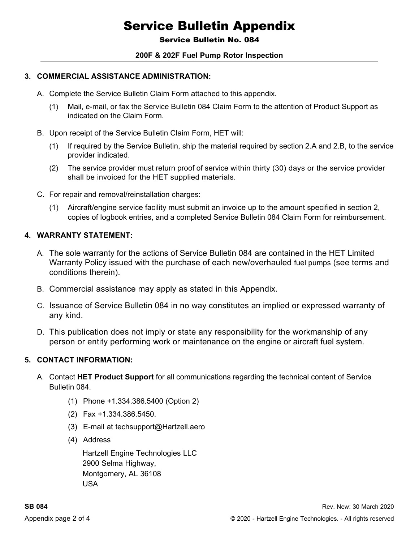#### Service Bulletin No. 084

#### **200F & 202F Fuel Pump Rotor Inspection**

#### **3. Commercial Assistance ADMINISTRATION:**

- A. Complete the Service Bulletin Claim Form attached to this appendix.
	- (1) Mail, e-mail, or fax the Service Bulletin 084 Claim Form to the attention of Product Support as indicated on the Claim Form.
- B. Upon receipt of the Service Bulletin Claim Form, HET will:
	- (1) If required by the Service Bulletin, ship the material required by section 2.A and 2.B, to the service provider indicated.
	- (2) The service provider must return proof of service within thirty (30) days or the service provider shall be invoiced for the HET supplied materials.
- C. For repair and removal/reinstallation charges:
	- (1) Aircraft/engine service facility must submit an invoice up to the amount specified in section 2, copies of logbook entries, and a completed Service Bulletin 084 Claim Form for reimbursement.

#### **4. WARRANTY STATEMENT:**

- A. The sole warranty for the actions of Service Bulletin 084 are contained in the HET Limited Warranty Policy issued with the purchase of each new/overhauled fuel pumps (see terms and conditions therein).
- B. Commercial assistance may apply as stated in this Appendix.
- C. Issuance of Service Bulletin 084 in no way constitutes an implied or expressed warranty of any kind.
- D. This publication does not imply or state any responsibility for the workmanship of any person or entity performing work or maintenance on the engine or aircraft fuel system.

#### **5. contact information:**

- A. Contact **HET Product Support** for all communications regarding the technical content of Service Bulletin 084.
	- (1) Phone +1.334.386.5400 (Option 2)
	- (2) Fax +1.334.386.5450.
	- (3) E-mail at techsupport@Hartzell.aero
	- (4) Address

Hartzell Engine Technologies LLC 2900 Selma Highway, Montgomery, AL 36108 USA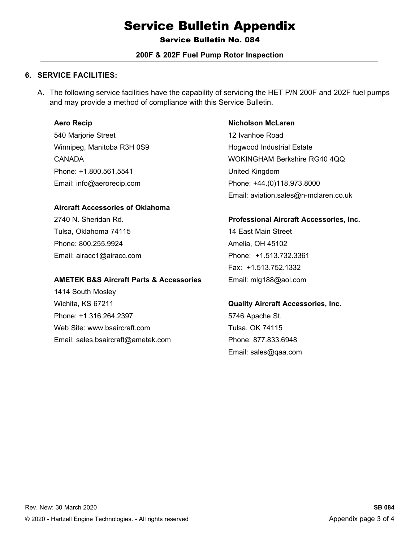Service Bulletin No. 084

#### **200F & 202F Fuel Pump Rotor Inspection**

#### **6. SERVICE FACILITIES:**

A. The following service facilities have the capability of servicing the HET P/N 200F and 202F fuel pumps and may provide a method of compliance with this Service Bulletin.

#### **Aero Recip**

540 Marjorie Street Winnipeg, Manitoba R3H 0S9 CANADA Phone: +1.800.561.5541 Email: info@aerorecip.com

#### **Aircraft Accessories of Oklahoma**

2740 N. Sheridan Rd. Tulsa, Oklahoma 74115 Phone: 800.255.9924 Email: airacc1@airacc.com

#### **AMETEK B&S Aircraft Parts & Accessories**

1414 South Mosley Wichita, KS 67211 Phone: +1.316.264.2397 Web Site: www.bsaircraft.com Email: sales.bsaircraft@ametek.com

#### **Nicholson McLaren**  12 Ivanhoe Road Hogwood Industrial Estate WOKINGHAM Berkshire RG40 4QQ United Kingdom Phone: +44.(0)118.973.8000 Email: aviation.sales@n-mclaren.co.uk

#### **Professional Aircraft Accessories, Inc.**

14 East Main Street Amelia, OH 45102 Phone: +1.513.732.3361 Fax: +1.513.752.1332 Email: mlg188@aol.com

#### **Quality Aircraft Accessories, Inc.**

5746 Apache St. Tulsa, OK 74115 Phone: 877.833.6948 Email: sales@qaa.com